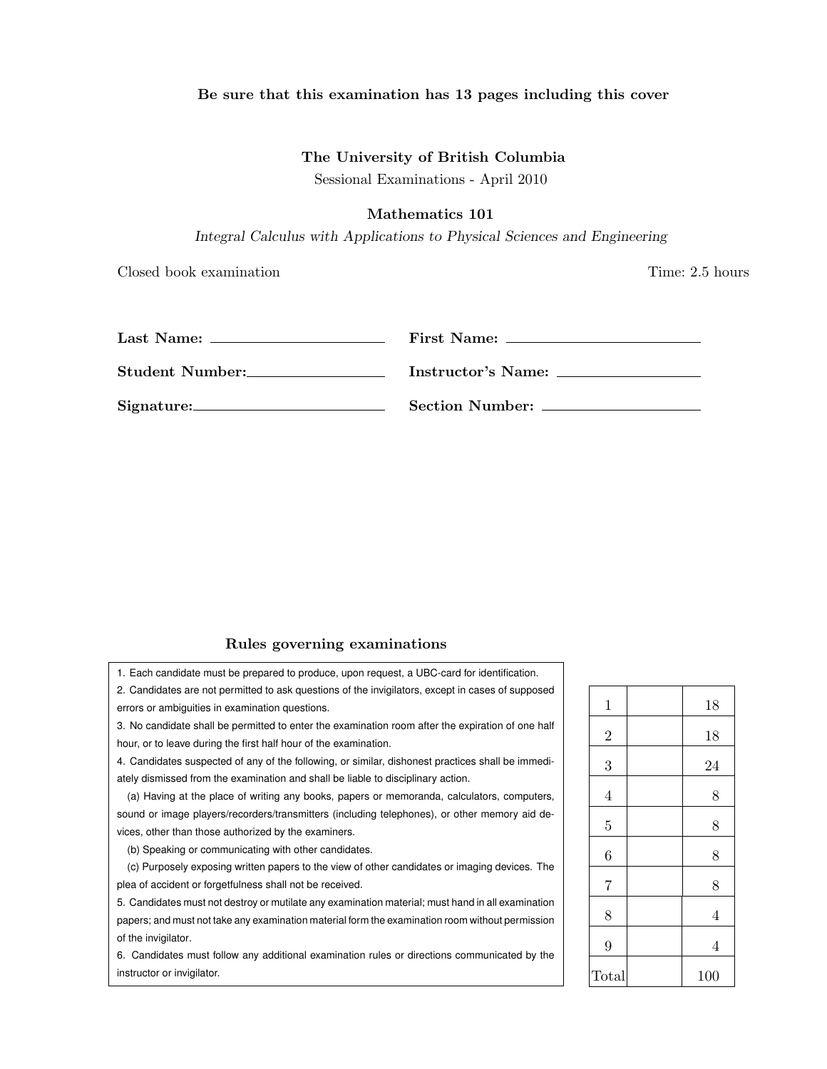## Be sure that this examination has 13 pages including this cover

## The University of British Columbia

Sessional Examinations - April 2010

# Mathematics 101

*Integral Calculus with Applications to Physical Sciences and Engineering*

Closed book examination **Time:** 2.5 hours

| Student Number: | Instructor's Name: |
|-----------------|--------------------|
| Signature: 2000 | Section Number:    |

## Rules governing examinations

1. Each candidate must be prepared to produce, upon request, a UBC-card for identification.

2. Candidates are not permitted to ask questions of the invigilators, except in cases of supposed errors or ambiguities in examination questions.

3. No candidate shall be permitted to enter the examination room after the expiration of one half hour, or to leave during the first half hour of the examination.

4. Candidates suspected of any of the following, or similar, dishonest practices shall be immediately dismissed from the examination and shall be liable to disciplinary action.

(a) Having at the place of writing any books, papers or memoranda, calculators, computers, sound or image players/recorders/transmitters (including telephones), or other memory aid devices, other than those authorized by the examiners.

(b) Speaking or communicating with other candidates.

(c) Purposely exposing written papers to the view of other candidates or imaging devices. The plea of accident or forgetfulness shall not be received.

5. Candidates must not destroy or mutilate any examination material; must hand in all examination papers; and must not take any examination material form the examination room without permission of the invigilator.

6. Candidates must follow any additional examination rules or directions communicated by the instructor or invigilator.

| $\mathbf{1}$   | 18             |
|----------------|----------------|
| $\overline{2}$ | 18             |
| 3              | 24             |
| $\overline{4}$ | 8              |
| $\overline{5}$ | 8              |
| 6              | 8              |
| $\overline{7}$ | 8              |
| 8              | $\overline{4}$ |
| 9              | $\overline{4}$ |
| Total          | 100            |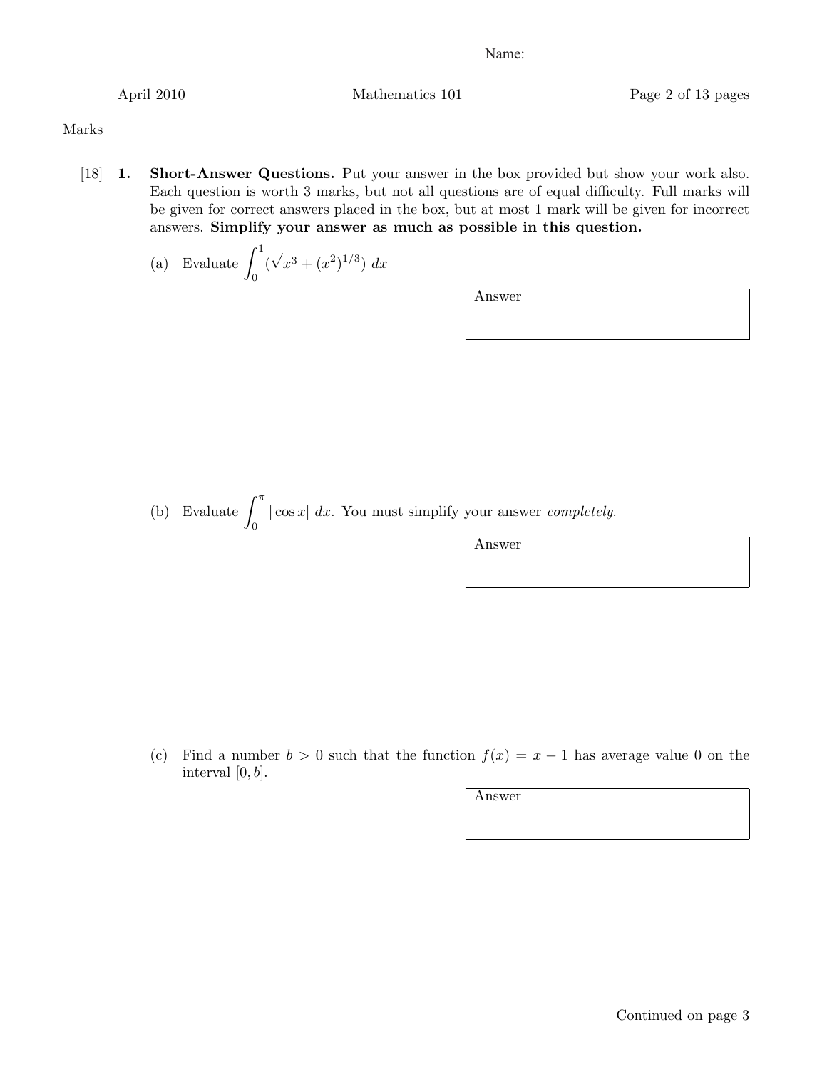April 2010 Mathematics 101 Page 2 of 13 pages

Marks

- [18] 1. Short-Answer Questions. Put your answer in the box provided but show your work also. Each question is worth 3 marks, but not all questions are of equal difficulty. Full marks will be given for correct answers placed in the box, but at most 1 mark will be given for incorrect answers. Simplify your answer as much as possible in this question.
	- (a) Evaluate  $\int_1^1$ 0  $(\sqrt{x^3} + (x^2)^{1/3}) dx$

Answer

(b) Evaluate  $\int_0^{\pi}$  $\int_{0}^{\pi} |\cos x| dx$ . You must simplify your answer *completely*.

Answer

(c) Find a number  $b > 0$  such that the function  $f(x) = x - 1$  has average value 0 on the interval  $[0, b]$ .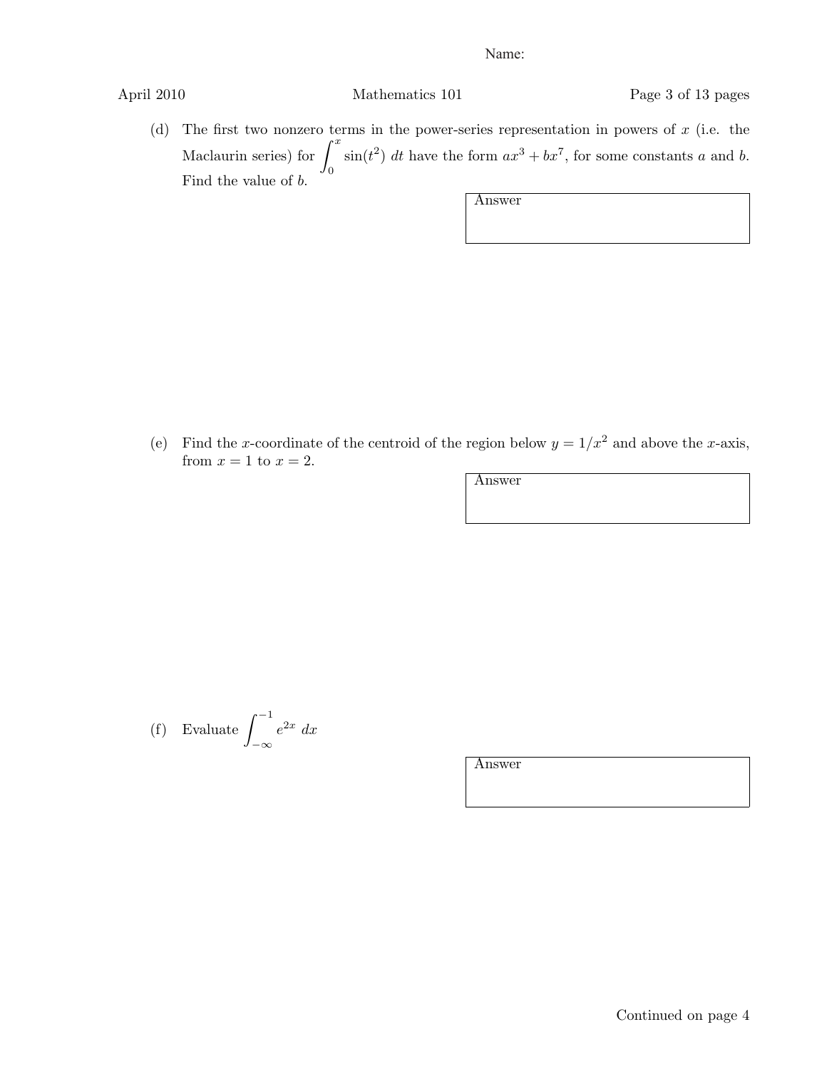April 2010 Mathematics 101 Page 3 of 13 pages

(d) The first two nonzero terms in the power-series representation in powers of *x* (i.e. the Maclaurin series) for  $\int_0^x$ 0  $\sin(t^2)$  *dt* have the form  $ax^3 + bx^7$ , for some constants *a* and *b*. Find the value of *b*.

| Answer |  |  |  |
|--------|--|--|--|
|        |  |  |  |
|        |  |  |  |

(e) Find the *x*-coordinate of the centroid of the region below  $y = 1/x^2$  and above the *x*-axis, from  $x = 1$  to  $x = 2$ .

Answer

(f) Evaluate  $\int^{-1}$ *−∞*  $e^{2x}$  *dx*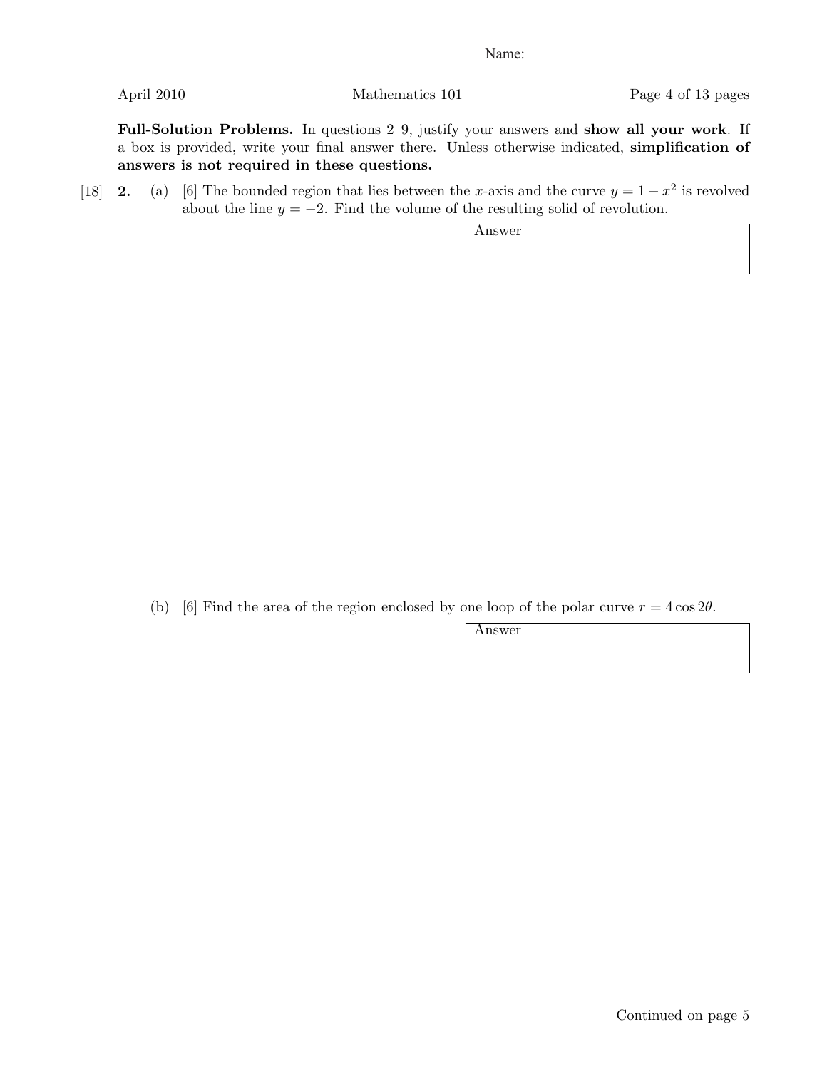April 2010 Mathematics 101 Page 4 of 13 pages

Full-Solution Problems. In questions 2–9, justify your answers and show all your work. If a box is provided, write your final answer there. Unless otherwise indicated, simplification of answers is not required in these questions.

[18] **2.** (a) [6] The bounded region that lies between the *x*-axis and the curve  $y = 1 - x^2$  is revolved about the line  $y = -2$ . Find the volume of the resulting solid of revolution.

Answer

(b) [6] Find the area of the region enclosed by one loop of the polar curve  $r = 4 \cos 2\theta$ .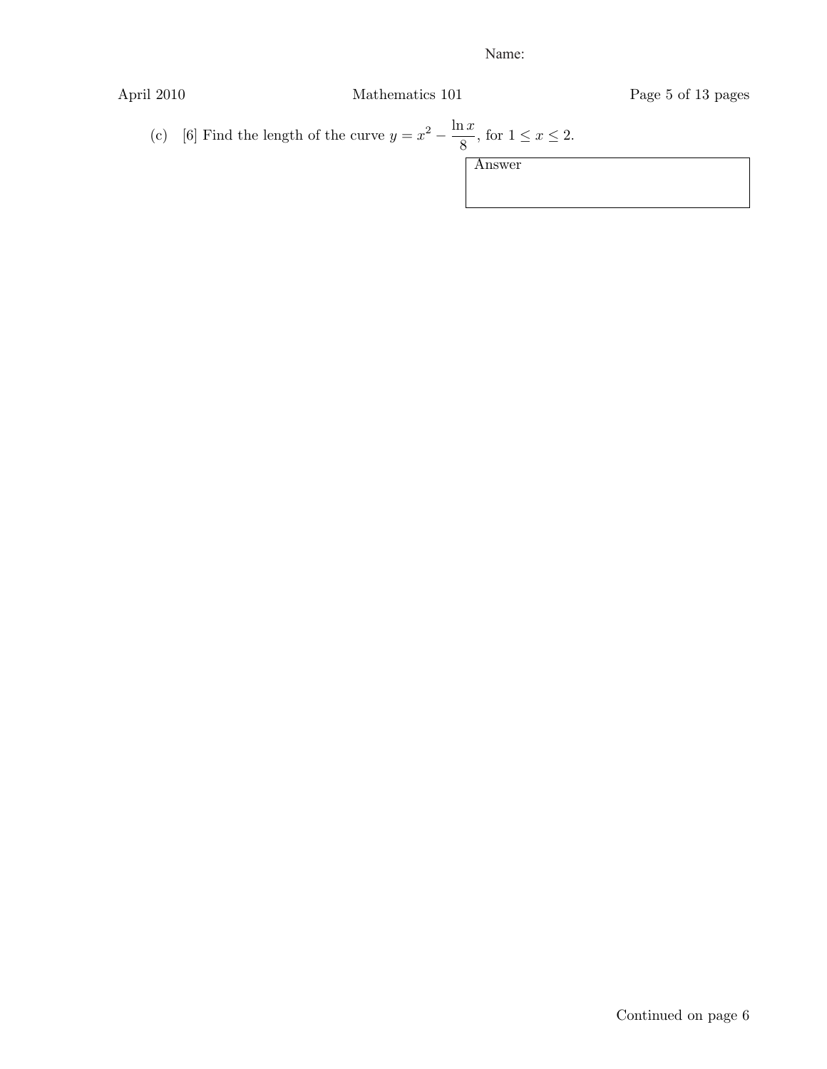April 2010 Mathematics 101 Page 5 of 13 pages

(c) [6] Find the length of the curve 
$$
y = x^2 - \frac{\ln x}{8}
$$
, for  $1 \le x \le 2$ .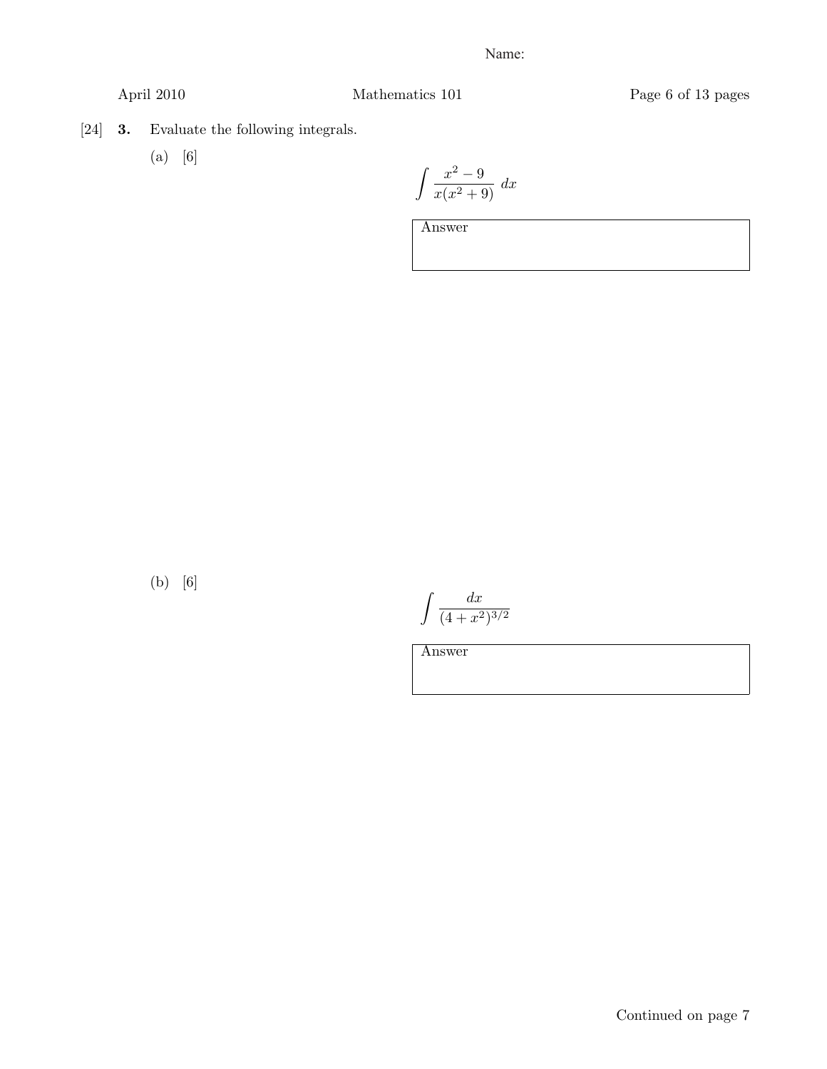April 2010 Mathematics 101 Page 6 of 13 pages

[24] 3. Evaluate the following integrals.

(a) [6]

$$
\int \frac{x^2 - 9}{x(x^2 + 9)} dx
$$

Answer

(b) [6]

 $\int$  dx  $(4+x^2)^{3/2}$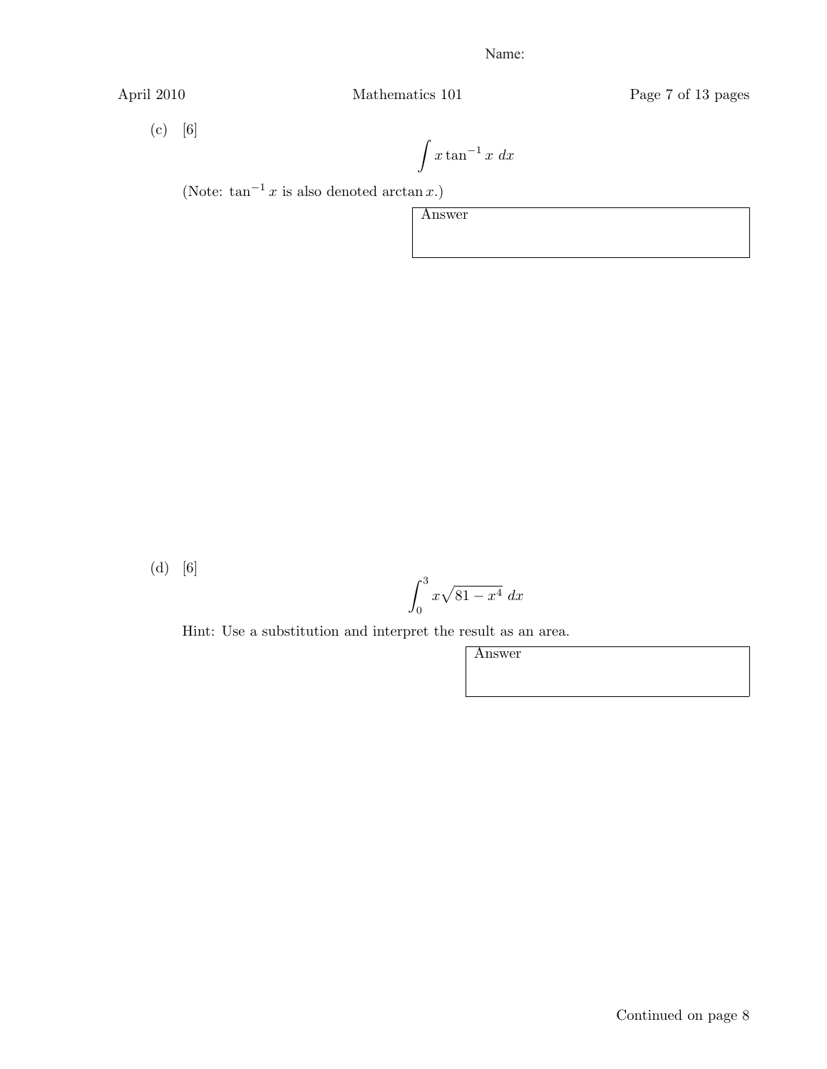April 2010 Mathematics 101 Page 7 of 13 pages

(c) [6]

$$
\int x \tan^{-1} x \ dx
$$

(Note:  $\tan^{-1} x$  is also denoted  $\arctan x$ .)

Answer

(d) [6]

$$
\int_0^3 x\sqrt{81-x^4} \ dx
$$

Hint: Use a substitution and interpret the result as an area.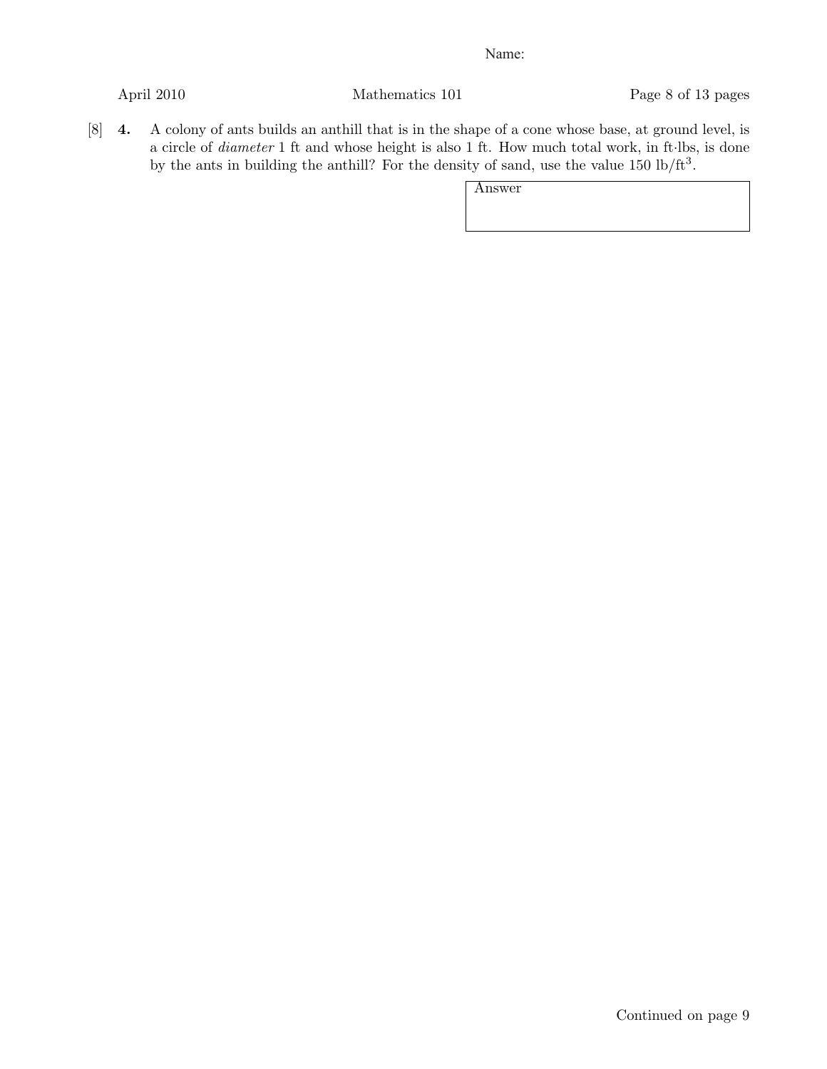April 2010 Mathematics 101 Page 8 of 13 pages

[8] 4. A colony of ants builds an anthill that is in the shape of a cone whose base, at ground level, is a circle of *diameter* 1 ft and whose height is also 1 ft. How much total work, in ft*·*lbs, is done by the ants in building the anthill? For the density of sand, use the value  $150 \text{ lb/ft}^3$ .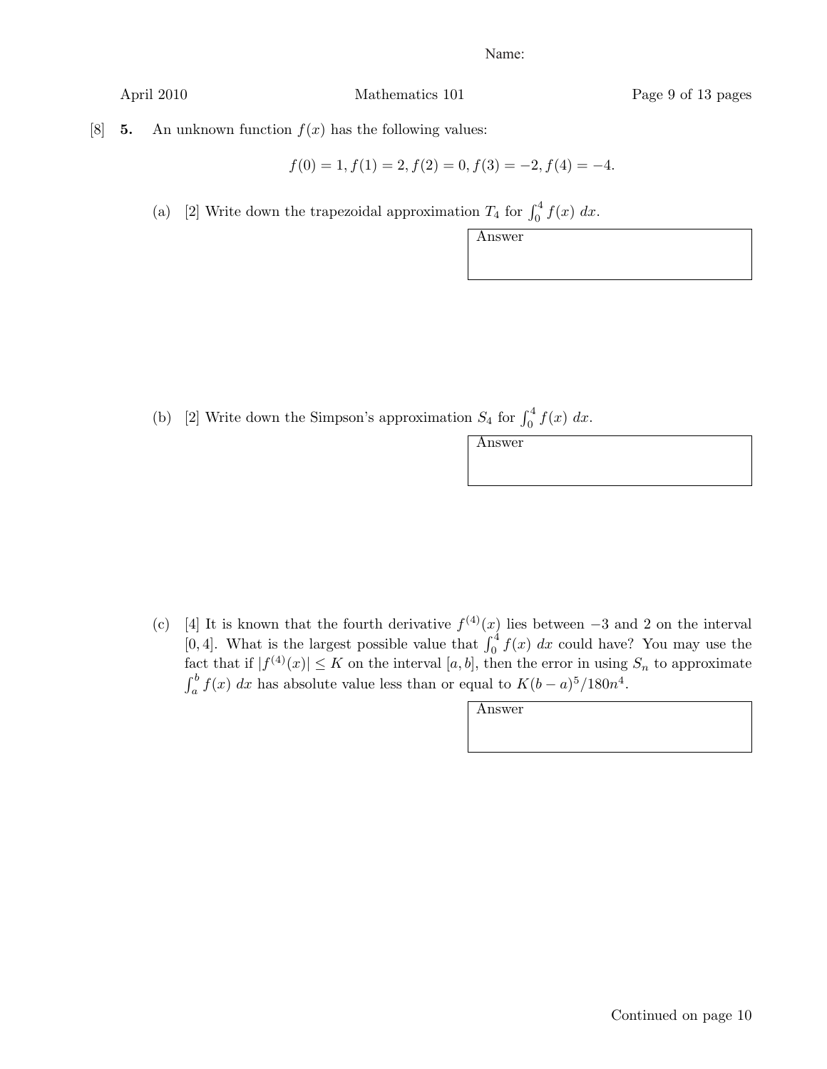April 2010 Mathematics 101 Page 9 of 13 pages

[8] **5.** An unknown function  $f(x)$  has the following values:

$$
f(0) = 1, f(1) = 2, f(2) = 0, f(3) = -2, f(4) = -4.
$$

(a) [2] Write down the trapezoidal approximation  $T_4$  for  $\int_0^4 f(x) dx$ .

| Answer |  |  |  |
|--------|--|--|--|
|        |  |  |  |
|        |  |  |  |

(b) [2] Write down the Simpson's approximation  $S_4$  for  $\int_0^4 f(x) dx$ .

(c) [4] It is known that the fourth derivative  $f^{(4)}(x)$  lies between  $-3$  and 2 on the interval [0,4]. What is the largest possible value that  $\int_0^4 f(x) dx$  could have? You may use the fact that if  $|f^{(4)}(x)| \leq K$  on the interval  $[a, b]$ , then the error in using  $S_n$  to approximate  $\int_a^b f(x) dx$  has absolute value less than or equal to  $K(b-a)^5/180n^4$ .

| Answer |  |
|--------|--|
|        |  |
|        |  |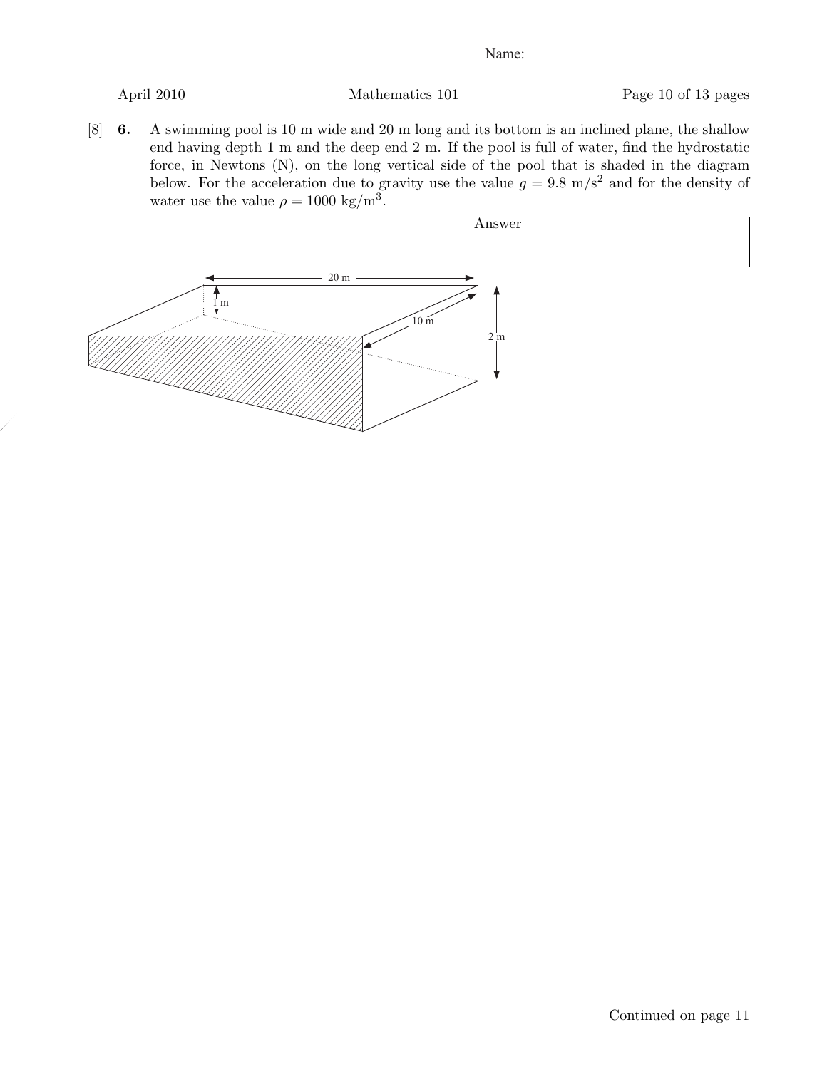April 2010 Mathematics 101 Page 10 of 13 pages

[8] 6. A swimming pool is 10 m wide and 20 m long and its bottom is an inclined plane, the shallow end having depth 1 m and the deep end 2 m. If the pool is full of water, find the hydrostatic force, in Newtons (N), on the long vertical side of the pool that is shaded in the diagram below. For the acceleration due to gravity use the value  $g = 9.8 \text{ m/s}^2$  and for the density of water use the value  $\rho = 1000 \text{ kg/m}^3$ .

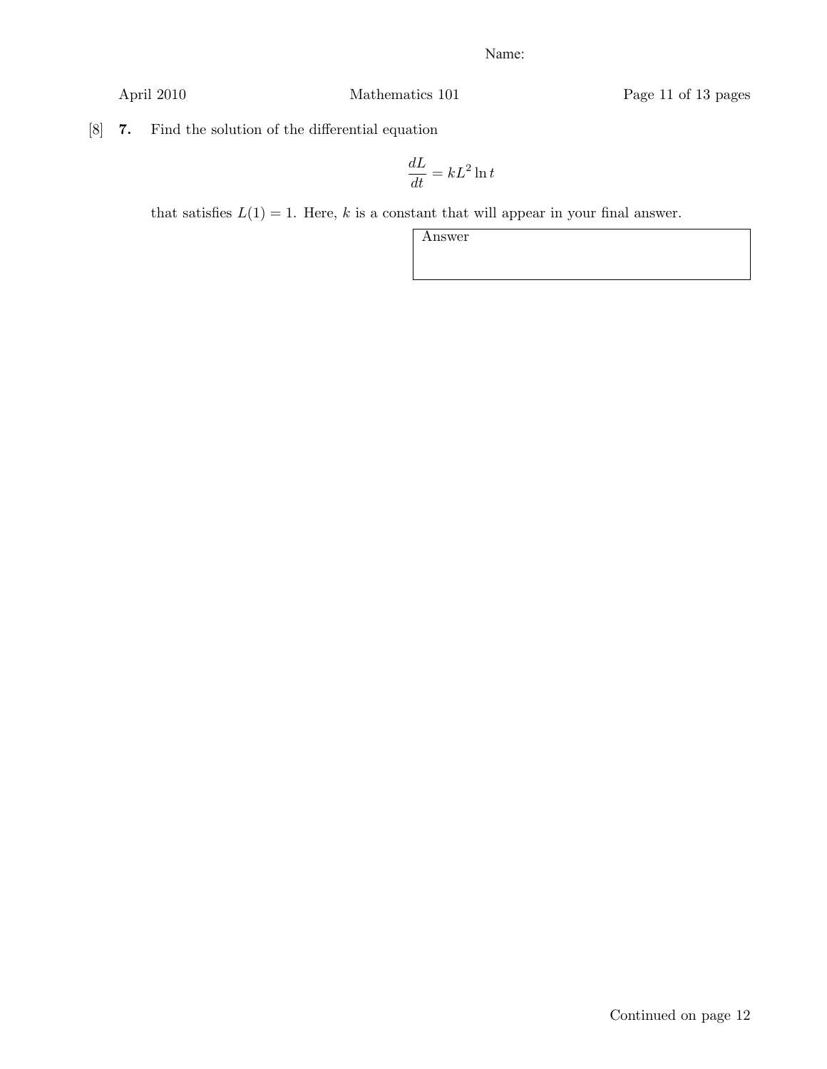April 2010 Mathematics 101 Page 11 of 13 pages

[8] 7. Find the solution of the differential equation

$$
\frac{dL}{dt} = kL^2 \ln t
$$

that satisfies  $L(1) = 1$ . Here, *k* is a constant that will appear in your final answer.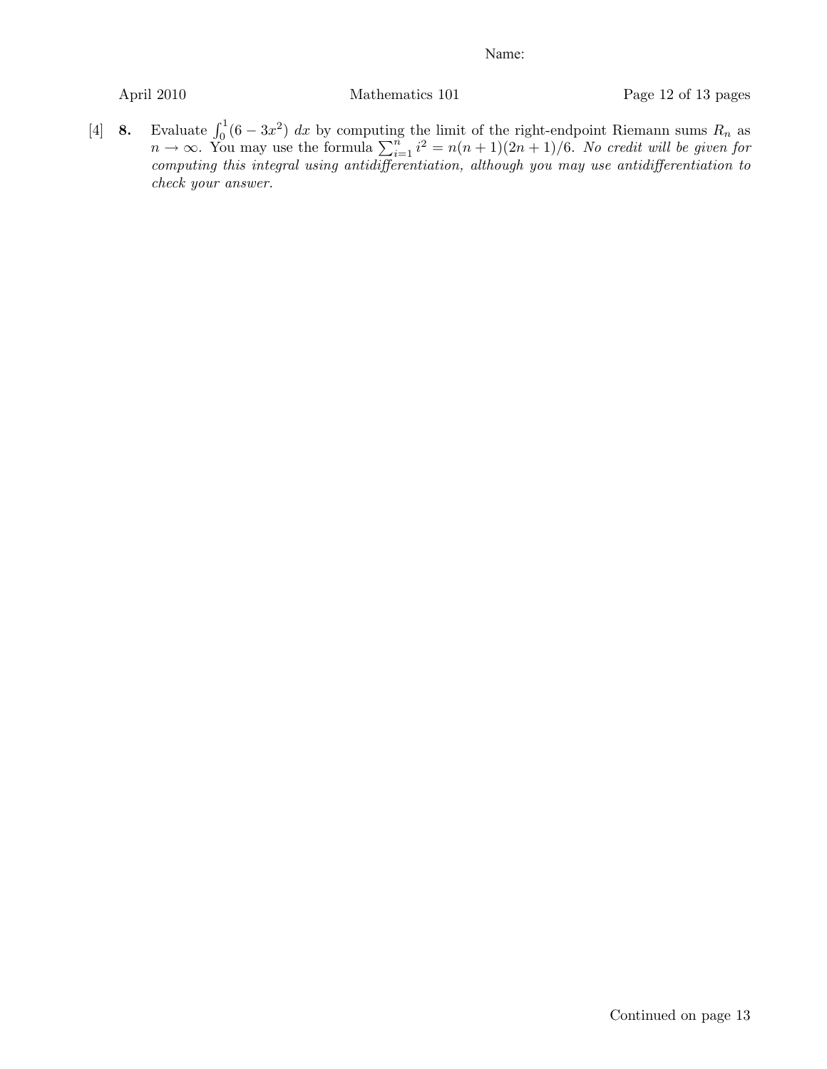April 2010 Mathematics 101 Page 12 of 13 pages

[4] 8. Evaluate  $\int_0^1 (6 - 3x^2) dx$  by computing the limit of the right-endpoint Riemann sums  $R_n$  as  $n \to \infty$ . You may use the formula  $\sum_{i=1}^{n} i^2 = n(n+1)(2n+1)/6$ . *No credit will be given for computing this integral using antidifferentiation, although you may use antidifferentiation to check your answer.*